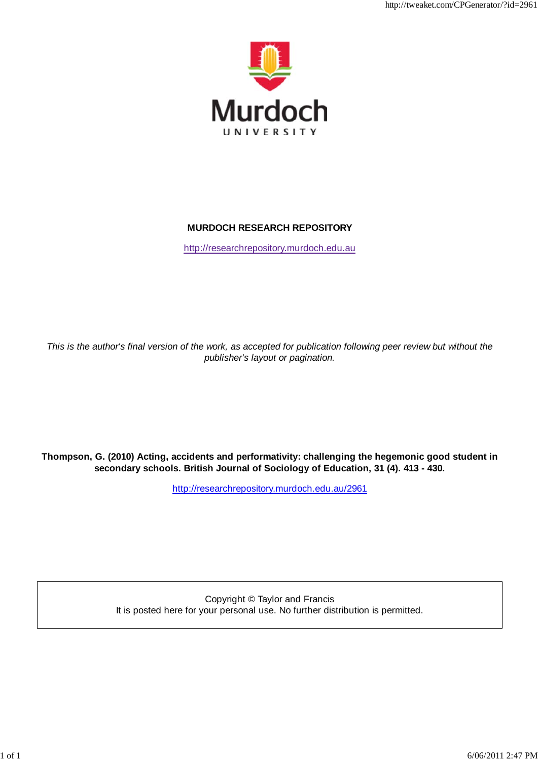

http://tweaket.com/CPGenerator/2019/2019/2019/2019/2019/2019/2019

#### **MURDOCH RESEARCH REPOSITORY**

http://researchrepository.murdoch.edu.au

*This is the author's final version of the work, as accepted for publication following peer review but without the publisher's layout or pagination.*

**Thompson, G. (2010) Acting, accidents and performativity: challenging the hegemonic good student in secondary schools. British Journal of Sociology of Education, 31 (4). 413 - 430.**

http://researchrepository.murdoch.edu.au/2961

Copyright © Taylor and Francis It is posted here for your personal use. No further distribution is permitted.

1 of 1 of 1 of 1 6/06/2011 20:47 PM (10:47 PM (10:47 PM (10:47 PM (10:47 PM (10:47 PM (10:47 PM (10:47 PM (10: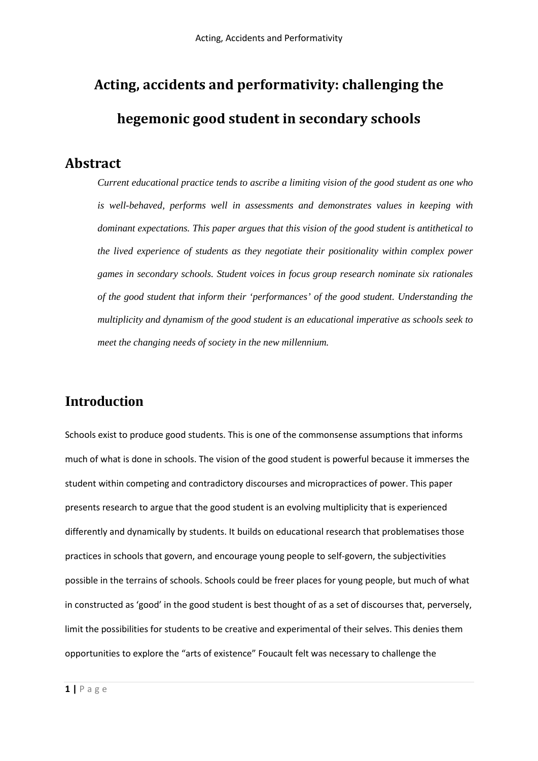# **Acting, accidents and performativity: challenging the hegemonic good student in secondary schools**

## **Abstract**

*Current educational practice tends to ascribe a limiting vision of the good student as one who is well-behaved, performs well in assessments and demonstrates values in keeping with dominant expectations. This paper argues that this vision of the good student is antithetical to the lived experience of students as they negotiate their positionality within complex power games in secondary schools. Student voices in focus group research nominate six rationales of the good student that inform their 'performances' of the good student. Understanding the multiplicity and dynamism of the good student is an educational imperative as schools seek to meet the changing needs of society in the new millennium.* 

# **Introduction**

Schools exist to produce good students. This is one of the commonsense assumptions that informs much of what is done in schools. The vision of the good student is powerful because it immerses the student within competing and contradictory discourses and micropractices of power. This paper presents research to argue that the good student is an evolving multiplicity that is experienced differently and dynamically by students. It builds on educational research that problematises those practices in schools that govern, and encourage young people to self-govern, the subjectivities possible in the terrains of schools. Schools could be freer places for young people, but much of what in constructed as 'good' in the good student is best thought of as a set of discourses that, perversely, limit the possibilities for students to be creative and experimental of their selves. This denies them opportunities to explore the "arts of existence" Foucault felt was necessary to challenge the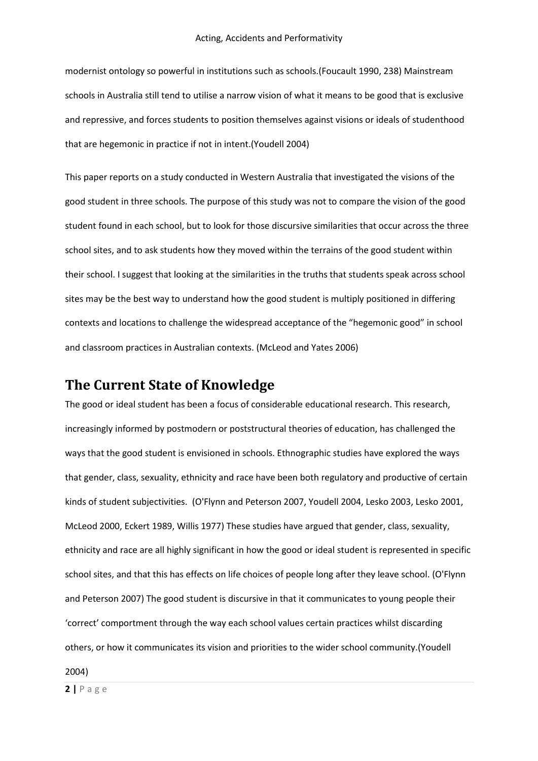modernist ontology so powerful in institutions such as schools.(Foucault 1990, 238) Mainstream schools in Australia still tend to utilise a narrow vision of what it means to be good that is exclusive and repressive, and forces students to position themselves against visions or ideals of studenthood that are hegemonic in practice if not in intent.(Youdell 2004)

This paper reports on a study conducted in Western Australia that investigated the visions of the good student in three schools. The purpose of this study was not to compare the vision of the good student found in each school, but to look for those discursive similarities that occur across the three school sites, and to ask students how they moved within the terrains of the good student within their school. I suggest that looking at the similarities in the truths that students speak across school sites may be the best way to understand how the good student is multiply positioned in differing contexts and locations to challenge the widespread acceptance of the "hegemonic good" in school and classroom practices in Australian contexts. (McLeod and Yates 2006)

## **The Current State of Knowledge**

The good or ideal student has been a focus of considerable educational research. This research, increasingly informed by postmodern or poststructural theories of education, has challenged the ways that the good student is envisioned in schools. Ethnographic studies have explored the ways that gender, class, sexuality, ethnicity and race have been both regulatory and productive of certain kinds of student subjectivities. (O'Flynn and Peterson 2007, Youdell 2004, Lesko 2003, Lesko 2001, McLeod 2000, Eckert 1989, Willis 1977) These studies have argued that gender, class, sexuality, ethnicity and race are all highly significant in how the good or ideal student is represented in specific school sites, and that this has effects on life choices of people long after they leave school. (O'Flynn and Peterson 2007) The good student is discursive in that it communicates to young people their 'correct' comportment through the way each school values certain practices whilst discarding others, or how it communicates its vision and priorities to the wider school community.(Youdell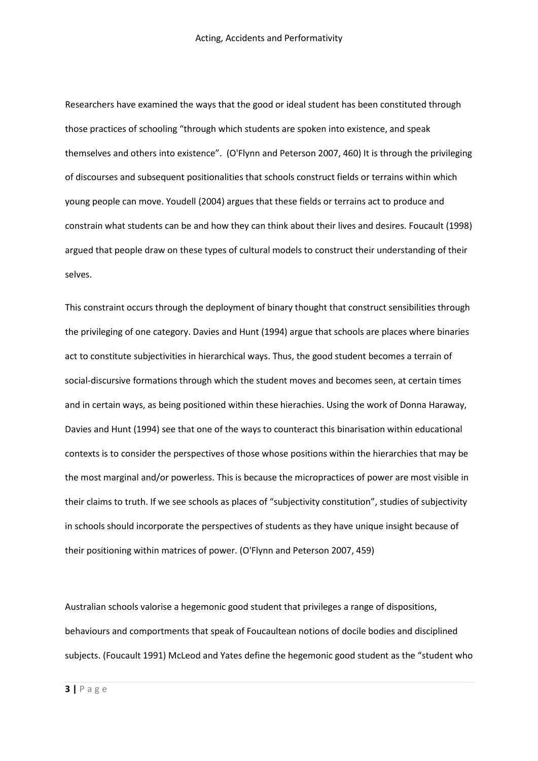Researchers have examined the ways that the good or ideal student has been constituted through those practices of schooling "through which students are spoken into existence, and speak themselves and others into existence". (O'Flynn and Peterson 2007, 460) It is through the privileging of discourses and subsequent positionalities that schools construct fields or terrains within which young people can move. Youdell (2004) argues that these fields or terrains act to produce and constrain what students can be and how they can think about their lives and desires. Foucault (1998) argued that people draw on these types of cultural models to construct their understanding of their selves.

This constraint occurs through the deployment of binary thought that construct sensibilities through the privileging of one category. Davies and Hunt (1994) argue that schools are places where binaries act to constitute subjectivities in hierarchical ways. Thus, the good student becomes a terrain of social-discursive formations through which the student moves and becomes seen, at certain times and in certain ways, as being positioned within these hierachies. Using the work of Donna Haraway, Davies and Hunt (1994) see that one of the ways to counteract this binarisation within educational contexts is to consider the perspectives of those whose positions within the hierarchies that may be the most marginal and/or powerless. This is because the micropractices of power are most visible in their claims to truth. If we see schools as places of "subjectivity constitution", studies of subjectivity in schools should incorporate the perspectives of students as they have unique insight because of their positioning within matrices of power. (O'Flynn and Peterson 2007, 459)

Australian schools valorise a hegemonic good student that privileges a range of dispositions, behaviours and comportments that speak of Foucaultean notions of docile bodies and disciplined subjects. (Foucault 1991) McLeod and Yates define the hegemonic good student as the "student who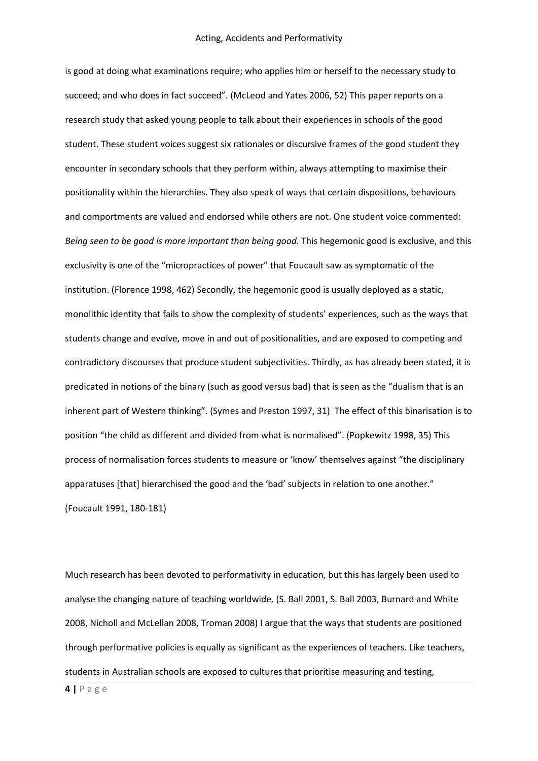is good at doing what examinations require; who applies him or herself to the necessary study to succeed; and who does in fact succeed". (McLeod and Yates 2006, 52) This paper reports on a research study that asked young people to talk about their experiences in schools of the good student. These student voices suggest six rationales or discursive frames of the good student they encounter in secondary schools that they perform within, always attempting to maximise their positionality within the hierarchies. They also speak of ways that certain dispositions, behaviours and comportments are valued and endorsed while others are not. One student voice commented: *Being seen to be good is more important than being good.* This hegemonic good is exclusive, and this exclusivity is one of the "micropractices of power" that Foucault saw as symptomatic of the institution. (Florence 1998, 462) Secondly, the hegemonic good is usually deployed as a static, monolithic identity that fails to show the complexity of students' experiences, such as the ways that students change and evolve, move in and out of positionalities, and are exposed to competing and contradictory discourses that produce student subjectivities. Thirdly, as has already been stated, it is predicated in notions of the binary (such as good versus bad) that is seen as the "dualism that is an inherent part of Western thinking". (Symes and Preston 1997, 31) The effect of this binarisation is to position "the child as different and divided from what is normalised". (Popkewitz 1998, 35) This process of normalisation forces students to measure or 'know' themselves against "the disciplinary apparatuses [that] hierarchised the good and the 'bad' subjects in relation to one another." (Foucault 1991, 180-181)

Much research has been devoted to performativity in education, but this has largely been used to analyse the changing nature of teaching worldwide. (S. Ball 2001, S. Ball 2003, Burnard and White 2008, Nicholl and McLellan 2008, Troman 2008) I argue that the ways that students are positioned through performative policies is equally as significant as the experiences of teachers. Like teachers, students in Australian schools are exposed to cultures that prioritise measuring and testing,

**4 |** Page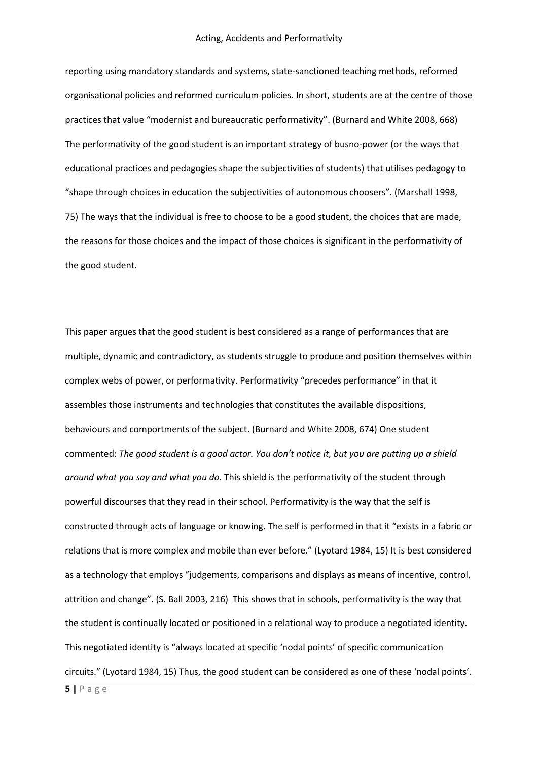reporting using mandatory standards and systems, state-sanctioned teaching methods, reformed organisational policies and reformed curriculum policies. In short, students are at the centre of those practices that value "modernist and bureaucratic performativity". (Burnard and White 2008, 668) The performativity of the good student is an important strategy of busno-power (or the ways that educational practices and pedagogies shape the subjectivities of students) that utilises pedagogy to "shape through choices in education the subjectivities of autonomous choosers". (Marshall 1998, 75) The ways that the individual is free to choose to be a good student, the choices that are made, the reasons for those choices and the impact of those choices is significant in the performativity of the good student.

This paper argues that the good student is best considered as a range of performances that are multiple, dynamic and contradictory, as students struggle to produce and position themselves within complex webs of power, or performativity. Performativity "precedes performance" in that it assembles those instruments and technologies that constitutes the available dispositions, behaviours and comportments of the subject. (Burnard and White 2008, 674) One student commented: *The good student is a good actor. You don't notice it, but you are putting up a shield around what you say and what you do.* This shield is the performativity of the student through powerful discourses that they read in their school. Performativity is the way that the self is constructed through acts of language or knowing. The self is performed in that it "exists in a fabric or relations that is more complex and mobile than ever before." (Lyotard 1984, 15) It is best considered as a technology that employs "judgements, comparisons and displays as means of incentive, control, attrition and change". (S. Ball 2003, 216) This shows that in schools, performativity is the way that the student is continually located or positioned in a relational way to produce a negotiated identity. This negotiated identity is "always located at specific 'nodal points' of specific communication circuits." (Lyotard 1984, 15) Thus, the good student can be considered as one of these 'nodal points'.

**5 |** Page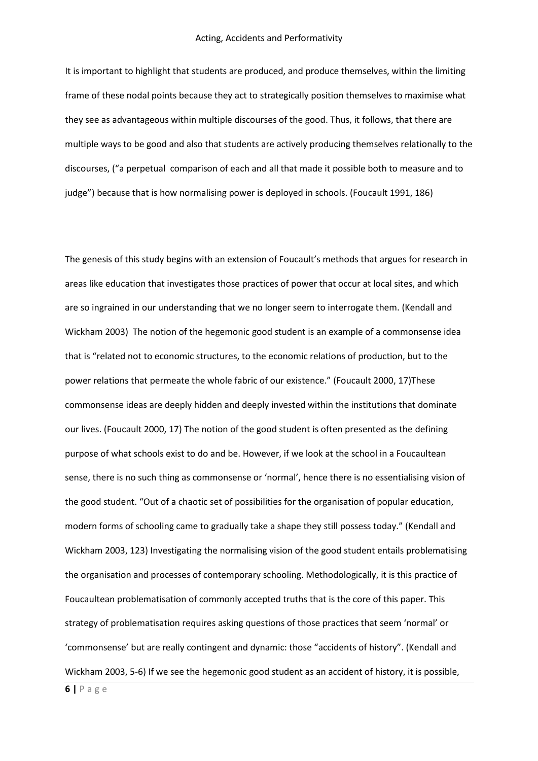It is important to highlight that students are produced, and produce themselves, within the limiting frame of these nodal points because they act to strategically position themselves to maximise what they see as advantageous within multiple discourses of the good. Thus, it follows, that there are multiple ways to be good and also that students are actively producing themselves relationally to the discourses, ("a perpetual comparison of each and all that made it possible both to measure and to judge") because that is how normalising power is deployed in schools. (Foucault 1991, 186)

The genesis of this study begins with an extension of Foucault's methods that argues for research in areas like education that investigates those practices of power that occur at local sites, and which are so ingrained in our understanding that we no longer seem to interrogate them. (Kendall and Wickham 2003) The notion of the hegemonic good student is an example of a commonsense idea that is "related not to economic structures, to the economic relations of production, but to the power relations that permeate the whole fabric of our existence." (Foucault 2000, 17)These commonsense ideas are deeply hidden and deeply invested within the institutions that dominate our lives. (Foucault 2000, 17) The notion of the good student is often presented as the defining purpose of what schools exist to do and be. However, if we look at the school in a Foucaultean sense, there is no such thing as commonsense or 'normal', hence there is no essentialising vision of the good student. "Out of a chaotic set of possibilities for the organisation of popular education, modern forms of schooling came to gradually take a shape they still possess today." (Kendall and Wickham 2003, 123) Investigating the normalising vision of the good student entails problematising the organisation and processes of contemporary schooling. Methodologically, it is this practice of Foucaultean problematisation of commonly accepted truths that is the core of this paper. This strategy of problematisation requires asking questions of those practices that seem 'normal' or 'commonsense' but are really contingent and dynamic: those "accidents of history". (Kendall and Wickham 2003, 5-6) If we see the hegemonic good student as an accident of history, it is possible,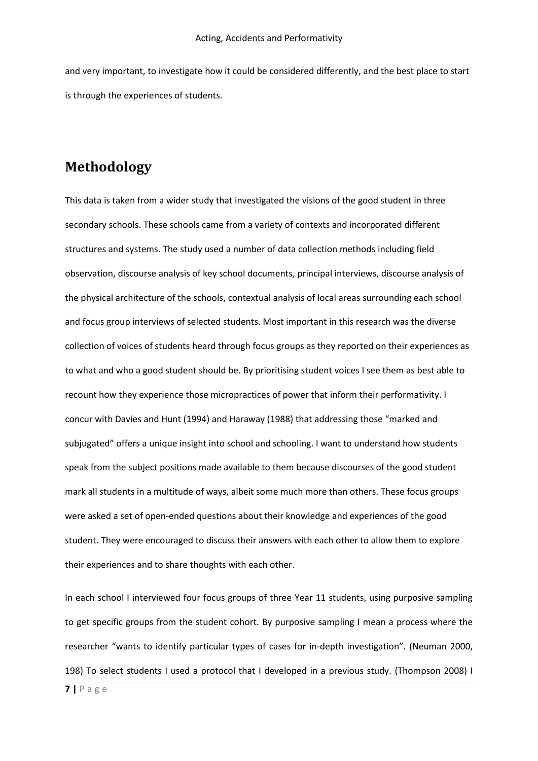and very important, to investigate how it could be considered differently, and the best place to start is through the experiences of students.

# **Methodology**

This data is taken from a wider study that investigated the visions of the good student in three secondary schools. These schools came from a variety of contexts and incorporated different structures and systems. The study used a number of data collection methods including field observation, discourse analysis of key school documents, principal interviews, discourse analysis of the physical architecture of the schools, contextual analysis of local areas surrounding each school and focus group interviews of selected students. Most important in this research was the diverse collection of voices of students heard through focus groups as they reported on their experiences as to what and who a good student should be. By prioritising student voices I see them as best able to recount how they experience those micropractices of power that inform their performativity. I concur with Davies and Hunt (1994) and Haraway (1988) that addressing those "marked and subjugated" offers a unique insight into school and schooling. I want to understand how students speak from the subject positions made available to them because discourses of the good student mark all students in a multitude of ways, albeit some much more than others. These focus groups were asked a set of open-ended questions about their knowledge and experiences of the good student. They were encouraged to discuss their answers with each other to allow them to explore their experiences and to share thoughts with each other.

In each school I interviewed four focus groups of three Year 11 students, using purposive sampling to get specific groups from the student cohort. By purposive sampling I mean a process where the researcher "wants to identify particular types of cases for in-depth investigation". (Neuman 2000, 198) To select students I used a protocol that I developed in a previous study. (Thompson 2008) I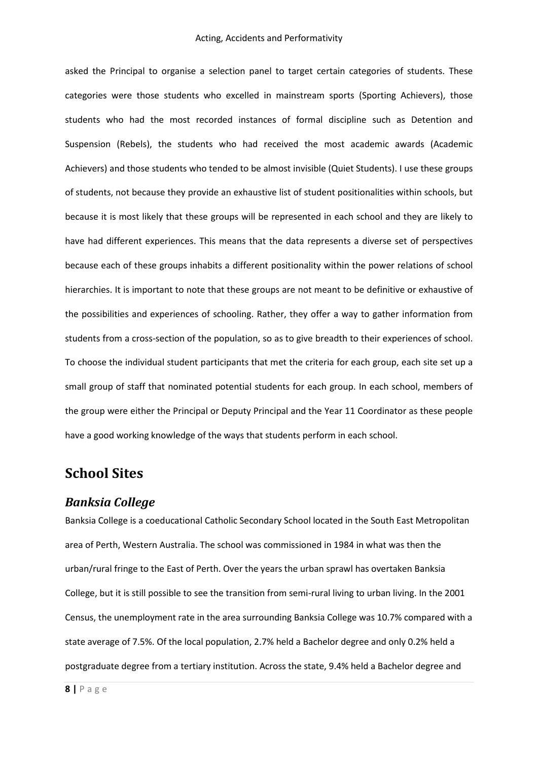asked the Principal to organise a selection panel to target certain categories of students. These categories were those students who excelled in mainstream sports (Sporting Achievers), those students who had the most recorded instances of formal discipline such as Detention and Suspension (Rebels), the students who had received the most academic awards (Academic Achievers) and those students who tended to be almost invisible (Quiet Students). I use these groups of students, not because they provide an exhaustive list of student positionalities within schools, but because it is most likely that these groups will be represented in each school and they are likely to have had different experiences. This means that the data represents a diverse set of perspectives because each of these groups inhabits a different positionality within the power relations of school hierarchies. It is important to note that these groups are not meant to be definitive or exhaustive of the possibilities and experiences of schooling. Rather, they offer a way to gather information from students from a cross-section of the population, so as to give breadth to their experiences of school. To choose the individual student participants that met the criteria for each group, each site set up a small group of staff that nominated potential students for each group. In each school, members of the group were either the Principal or Deputy Principal and the Year 11 Coordinator as these people have a good working knowledge of the ways that students perform in each school.

# **School Sites**

#### *Banksia College*

Banksia College is a coeducational Catholic Secondary School located in the South East Metropolitan area of Perth, Western Australia. The school was commissioned in 1984 in what was then the urban/rural fringe to the East of Perth. Over the years the urban sprawl has overtaken Banksia College, but it is still possible to see the transition from semi-rural living to urban living. In the 2001 Census, the unemployment rate in the area surrounding Banksia College was 10.7% compared with a state average of 7.5%. Of the local population, 2.7% held a Bachelor degree and only 0.2% held a postgraduate degree from a tertiary institution. Across the state, 9.4% held a Bachelor degree and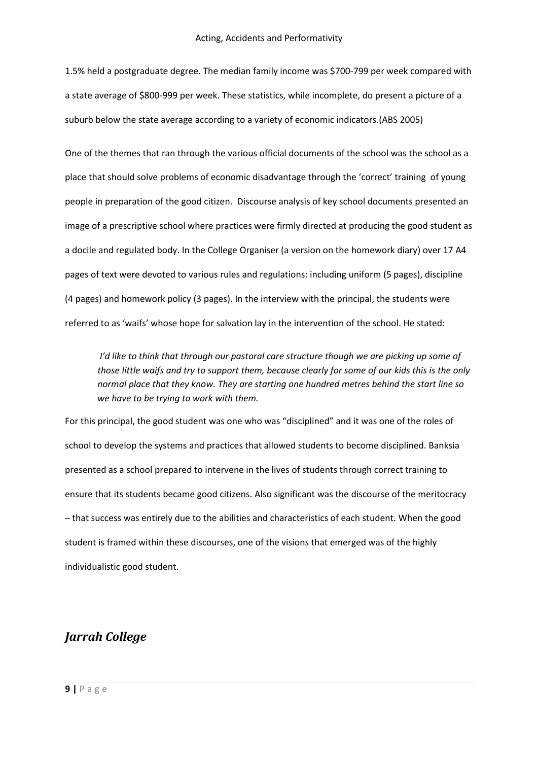1.5% held a postgraduate degree. The median family income was \$700-799 per week compared with a state average of \$800-999 per week. These statistics, while incomplete, do present a picture of a suburb below the state average according to a variety of economic indicators.(ABS 2005)

One of the themes that ran through the various official documents of the school was the school as a place that should solve problems of economic disadvantage through the 'correct' training of young people in preparation of the good citizen. Discourse analysis of key school documents presented an image of a prescriptive school where practices were firmly directed at producing the good student as a docile and regulated body. In the College Organiser (a version on the homework diary) over 17 A4 pages of text were devoted to various rules and regulations: including uniform (5 pages), discipline (4 pages) and homework policy (3 pages). In the interview with the principal, the students were referred to as 'waifs' whose hope for salvation lay in the intervention of the school. He stated:

*I'd like to think that through our pastoral care structure though we are picking up some of those little waifs and try to support them, because clearly for some of our kids this is the only normal place that they know. They are starting one hundred metres behind the start line so we have to be trying to work with them.* 

For this principal, the good student was one who was "disciplined" and it was one of the roles of school to develop the systems and practices that allowed students to become disciplined. Banksia presented as a school prepared to intervene in the lives of students through correct training to ensure that its students became good citizens. Also significant was the discourse of the meritocracy – that success was entirely due to the abilities and characteristics of each student. When the good student is framed within these discourses, one of the visions that emerged was of the highly individualistic good student.

## *Jarrah College*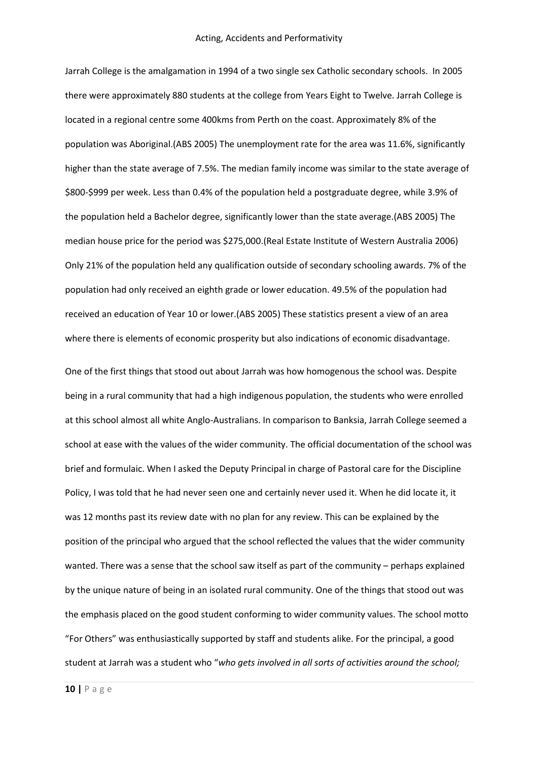Jarrah College is the amalgamation in 1994 of a two single sex Catholic secondary schools. In 2005 there were approximately 880 students at the college from Years Eight to Twelve. Jarrah College is located in a regional centre some 400kms from Perth on the coast. Approximately 8% of the population was Aboriginal.(ABS 2005) The unemployment rate for the area was 11.6%, significantly higher than the state average of 7.5%. The median family income was similar to the state average of \$800-\$999 per week. Less than 0.4% of the population held a postgraduate degree, while 3.9% of the population held a Bachelor degree, significantly lower than the state average.(ABS 2005) The median house price for the period was \$275,000.(Real Estate Institute of Western Australia 2006) Only 21% of the population held any qualification outside of secondary schooling awards. 7% of the population had only received an eighth grade or lower education. 49.5% of the population had received an education of Year 10 or lower.(ABS 2005) These statistics present a view of an area where there is elements of economic prosperity but also indications of economic disadvantage.

One of the first things that stood out about Jarrah was how homogenous the school was. Despite being in a rural community that had a high indigenous population, the students who were enrolled at this school almost all white Anglo-Australians. In comparison to Banksia, Jarrah College seemed a school at ease with the values of the wider community. The official documentation of the school was brief and formulaic. When I asked the Deputy Principal in charge of Pastoral care for the Discipline Policy, I was told that he had never seen one and certainly never used it. When he did locate it, it was 12 months past its review date with no plan for any review. This can be explained by the position of the principal who argued that the school reflected the values that the wider community wanted. There was a sense that the school saw itself as part of the community – perhaps explained by the unique nature of being in an isolated rural community. One of the things that stood out was the emphasis placed on the good student conforming to wider community values. The school motto "For Others" was enthusiastically supported by staff and students alike. For the principal, a good student at Jarrah was a student who "*who gets involved in all sorts of activities around the school;*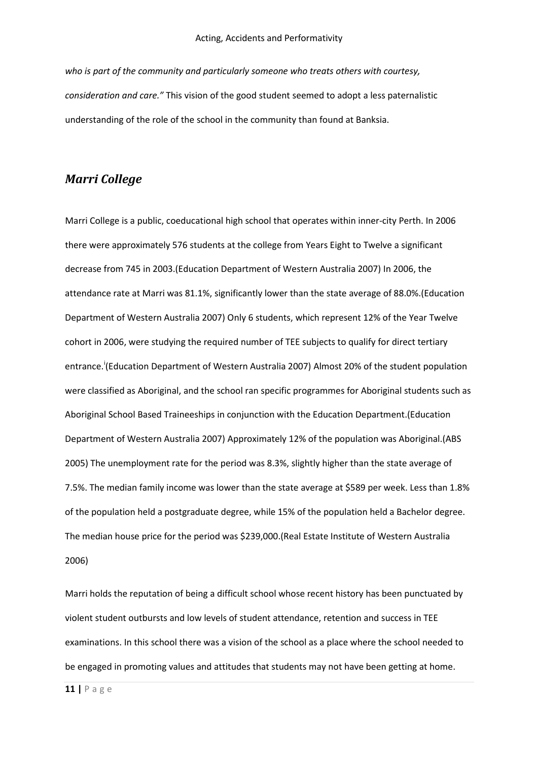*who is part of the community and particularly someone who treats others with courtesy, consideration and care."* This vision of the good student seemed to adopt a less paternalistic understanding of the role of the school in the community than found at Banksia.

#### *Marri College*

Marri College is a public, coeducational high school that operates within inner-city Perth. In 2006 there were approximately 576 students at the college from Years Eight to Twelve a significant decrease from 745 in 2003.(Education Department of Western Australia 2007) In 2006, the attendance rate at Marri was 81.1%, significantly lower than the state average of 88.0%.(Education Department of Western Australia 2007) Only 6 students, which represent 12% of the Year Twelve cohort in 2006, were studying the required number of TEE subjects to qualify for direct tertiary entrance.<sup>[i](#page-24-0)</sup>(Education Department of Western Australia 2007) Almost 20% of the student population were classified as Aboriginal, and the school ran specific programmes for Aboriginal students such as Aboriginal School Based Traineeships in conjunction with the Education Department.(Education Department of Western Australia 2007) Approximately 12% of the population was Aboriginal.(ABS 2005) The unemployment rate for the period was 8.3%, slightly higher than the state average of 7.5%. The median family income was lower than the state average at \$589 per week. Less than 1.8% of the population held a postgraduate degree, while 15% of the population held a Bachelor degree. The median house price for the period was \$239,000.(Real Estate Institute of Western Australia 2006)

Marri holds the reputation of being a difficult school whose recent history has been punctuated by violent student outbursts and low levels of student attendance, retention and success in TEE examinations. In this school there was a vision of the school as a place where the school needed to be engaged in promoting values and attitudes that students may not have been getting at home.

**11 |** Page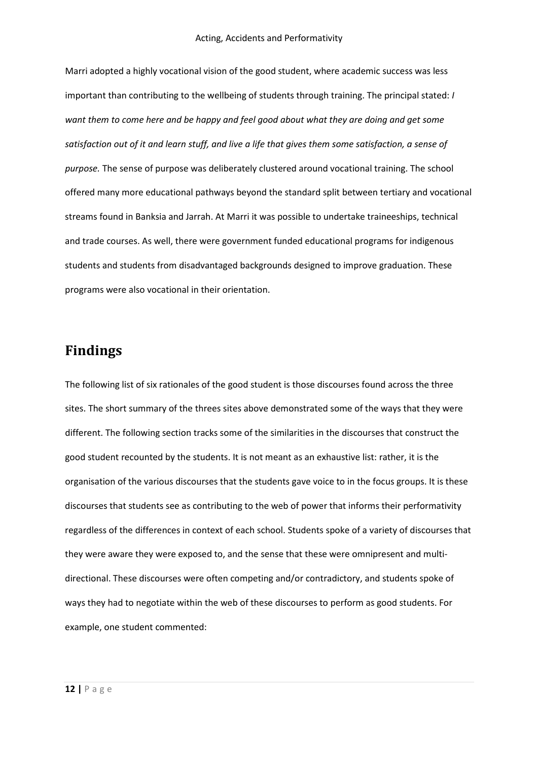Marri adopted a highly vocational vision of the good student, where academic success was less important than contributing to the wellbeing of students through training. The principal stated: *I want them to come here and be happy and feel good about what they are doing and get some satisfaction out of it and learn stuff, and live a life that gives them some satisfaction, a sense of purpose.* The sense of purpose was deliberately clustered around vocational training. The school offered many more educational pathways beyond the standard split between tertiary and vocational streams found in Banksia and Jarrah. At Marri it was possible to undertake traineeships, technical and trade courses. As well, there were government funded educational programs for indigenous students and students from disadvantaged backgrounds designed to improve graduation. These programs were also vocational in their orientation.

## **Findings**

The following list of six rationales of the good student is those discourses found across the three sites. The short summary of the threes sites above demonstrated some of the ways that they were different. The following section tracks some of the similarities in the discourses that construct the good student recounted by the students. It is not meant as an exhaustive list: rather, it is the organisation of the various discourses that the students gave voice to in the focus groups. It is these discourses that students see as contributing to the web of power that informs their performativity regardless of the differences in context of each school. Students spoke of a variety of discourses that they were aware they were exposed to, and the sense that these were omnipresent and multidirectional. These discourses were often competing and/or contradictory, and students spoke of ways they had to negotiate within the web of these discourses to perform as good students. For example, one student commented: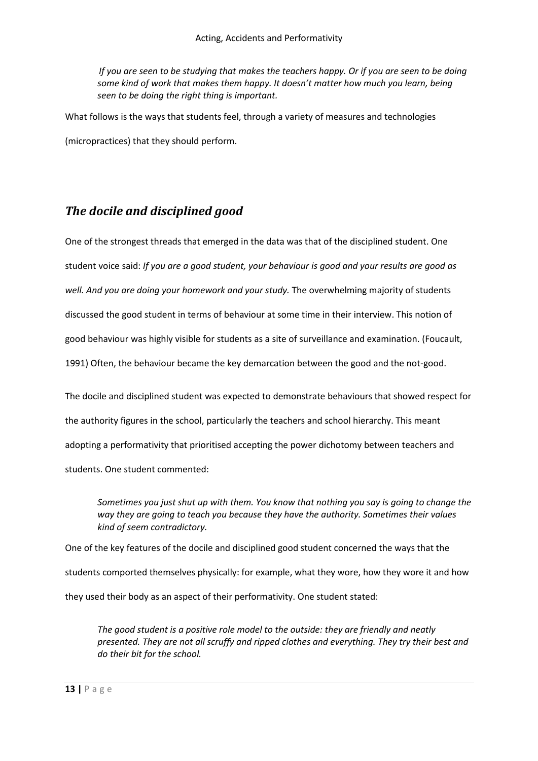*If you are seen to be studying that makes the teachers happy. Or if you are seen to be doing some kind of work that makes them happy. It doesn't matter how much you learn, being seen to be doing the right thing is important.*

What follows is the ways that students feel, through a variety of measures and technologies (micropractices) that they should perform.

# *The docile and disciplined good*

One of the strongest threads that emerged in the data was that of the disciplined student. One student voice said: *If you are a good student, your behaviour is good and your results are good as well. And you are doing your homework and your study.* The overwhelming majority of students discussed the good student in terms of behaviour at some time in their interview. This notion of good behaviour was highly visible for students as a site of surveillance and examination. (Foucault, 1991) Often, the behaviour became the key demarcation between the good and the not-good.

The docile and disciplined student was expected to demonstrate behaviours that showed respect for the authority figures in the school, particularly the teachers and school hierarchy. This meant adopting a performativity that prioritised accepting the power dichotomy between teachers and students. One student commented:

*Sometimes you just shut up with them. You know that nothing you say is going to change the way they are going to teach you because they have the authority. Sometimes their values kind of seem contradictory.*

One of the key features of the docile and disciplined good student concerned the ways that the students comported themselves physically: for example, what they wore, how they wore it and how they used their body as an aspect of their performativity. One student stated:

*The good student is a positive role model to the outside: they are friendly and neatly presented. They are not all scruffy and ripped clothes and everything. They try their best and do their bit for the school.*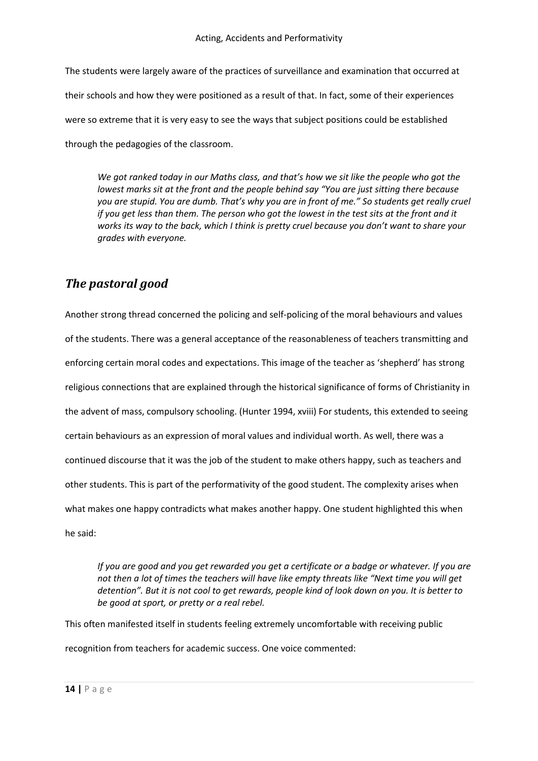The students were largely aware of the practices of surveillance and examination that occurred at their schools and how they were positioned as a result of that. In fact, some of their experiences were so extreme that it is very easy to see the ways that subject positions could be established through the pedagogies of the classroom.

*We got ranked today in our Maths class, and that's how we sit like the people who got the lowest marks sit at the front and the people behind say "You are just sitting there because you are stupid. You are dumb. That's why you are in front of me." So students get really cruel if you get less than them. The person who got the lowest in the test sits at the front and it works its way to the back, which I think is pretty cruel because you don't want to share your grades with everyone.*

# *The pastoral good*

Another strong thread concerned the policing and self-policing of the moral behaviours and values of the students. There was a general acceptance of the reasonableness of teachers transmitting and enforcing certain moral codes and expectations. This image of the teacher as 'shepherd' has strong religious connections that are explained through the historical significance of forms of Christianity in the advent of mass, compulsory schooling. (Hunter 1994, xviii) For students, this extended to seeing certain behaviours as an expression of moral values and individual worth. As well, there was a continued discourse that it was the job of the student to make others happy, such as teachers and other students. This is part of the performativity of the good student. The complexity arises when what makes one happy contradicts what makes another happy. One student highlighted this when he said:

*If you are good and you get rewarded you get a certificate or a badge or whatever. If you are not then a lot of times the teachers will have like empty threats like "Next time you will get detention". But it is not cool to get rewards, people kind of look down on you. It is better to be good at sport, or pretty or a real rebel.*

This often manifested itself in students feeling extremely uncomfortable with receiving public recognition from teachers for academic success. One voice commented: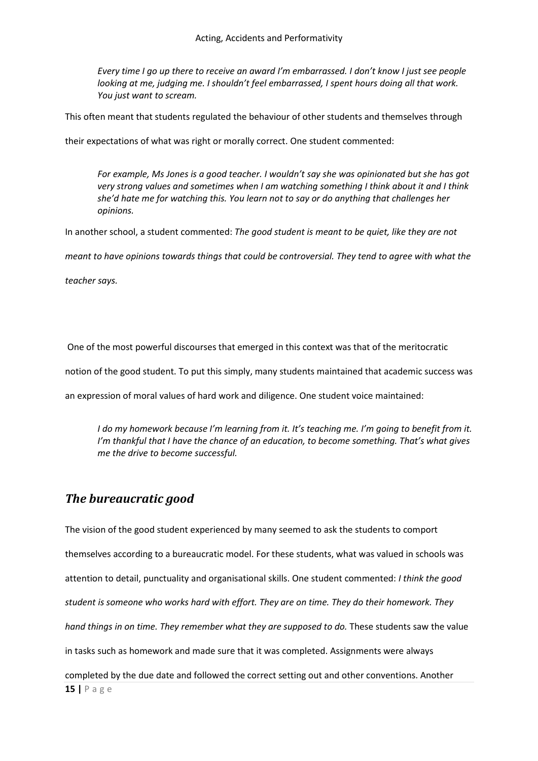*Every time I go up there to receive an award I'm embarrassed. I don't know I just see people looking at me, judging me. I shouldn't feel embarrassed, I spent hours doing all that work. You just want to scream.*

This often meant that students regulated the behaviour of other students and themselves through

their expectations of what was right or morally correct. One student commented:

*For example, Ms Jones is a good teacher. I wouldn't say she was opinionated but she has got very strong values and sometimes when I am watching something I think about it and I think she'd hate me for watching this. You learn not to say or do anything that challenges her opinions.*

In another school, a student commented: *The good student is meant to be quiet, like they are not* 

*meant to have opinions towards things that could be controversial. They tend to agree with what the* 

*teacher says.*

One of the most powerful discourses that emerged in this context was that of the meritocratic

notion of the good student. To put this simply, many students maintained that academic success was

an expression of moral values of hard work and diligence. One student voice maintained:

*I do my homework because I'm learning from it. It's teaching me. I'm going to benefit from it. I'm thankful that I have the chance of an education, to become something. That's what gives me the drive to become successful.* 

## *The bureaucratic good*

**15 |** Page The vision of the good student experienced by many seemed to ask the students to comport themselves according to a bureaucratic model. For these students, what was valued in schools was attention to detail, punctuality and organisational skills. One student commented: *I think the good student is someone who works hard with effort. They are on time. They do their homework. They hand things in on time. They remember what they are supposed to do.* These students saw the value in tasks such as homework and made sure that it was completed. Assignments were always completed by the due date and followed the correct setting out and other conventions. Another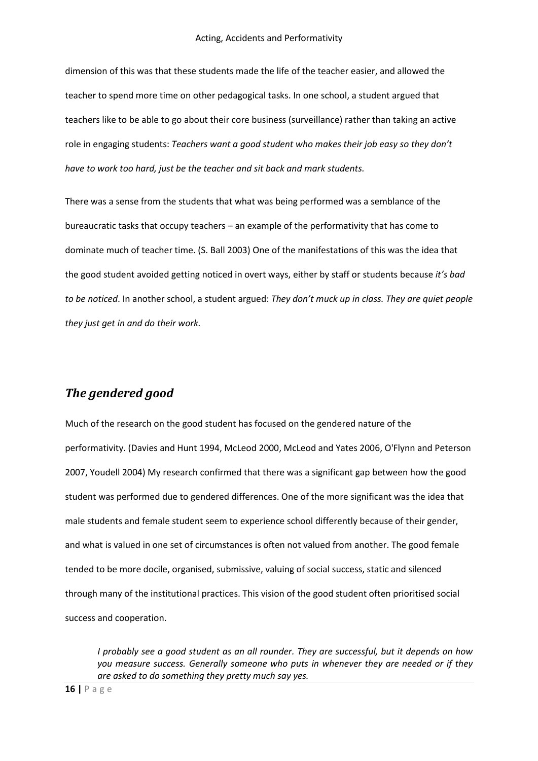dimension of this was that these students made the life of the teacher easier, and allowed the teacher to spend more time on other pedagogical tasks. In one school, a student argued that teachers like to be able to go about their core business (surveillance) rather than taking an active role in engaging students: *Teachers want a good student who makes their job easy so they don't have to work too hard, just be the teacher and sit back and mark students.*

There was a sense from the students that what was being performed was a semblance of the bureaucratic tasks that occupy teachers – an example of the performativity that has come to dominate much of teacher time. (S. Ball 2003) One of the manifestations of this was the idea that the good student avoided getting noticed in overt ways, either by staff or students because *it's bad to be noticed*. In another school, a student argued: *They don't muck up in class. They are quiet people they just get in and do their work.*

#### *The gendered good*

Much of the research on the good student has focused on the gendered nature of the performativity. (Davies and Hunt 1994, McLeod 2000, McLeod and Yates 2006, O'Flynn and Peterson 2007, Youdell 2004) My research confirmed that there was a significant gap between how the good student was performed due to gendered differences. One of the more significant was the idea that male students and female student seem to experience school differently because of their gender, and what is valued in one set of circumstances is often not valued from another. The good female tended to be more docile, organised, submissive, valuing of social success, static and silenced through many of the institutional practices. This vision of the good student often prioritised social success and cooperation.

*I probably see a good student as an all rounder. They are successful, but it depends on how you measure success. Generally someone who puts in whenever they are needed or if they are asked to do something they pretty much say yes.*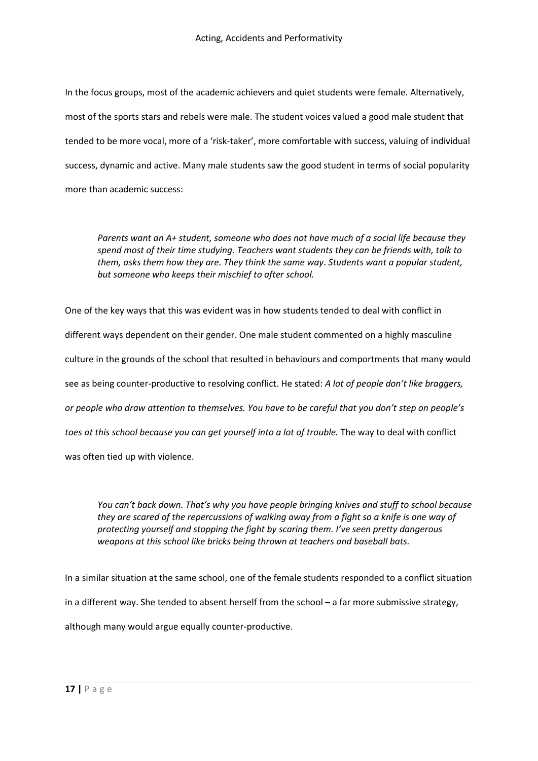In the focus groups, most of the academic achievers and quiet students were female. Alternatively, most of the sports stars and rebels were male. The student voices valued a good male student that tended to be more vocal, more of a 'risk-taker', more comfortable with success, valuing of individual success, dynamic and active. Many male students saw the good student in terms of social popularity more than academic success:

*Parents want an A+ student, someone who does not have much of a social life because they spend most of their time studying. Teachers want students they can be friends with, talk to them, asks them how they are. They think the same way*. *Students want a popular student, but someone who keeps their mischief to after school.*

One of the key ways that this was evident was in how students tended to deal with conflict in different ways dependent on their gender. One male student commented on a highly masculine culture in the grounds of the school that resulted in behaviours and comportments that many would see as being counter-productive to resolving conflict. He stated: *A lot of people don't like braggers, or people who draw attention to themselves. You have to be careful that you don't step on people's toes at this school because you can get yourself into a lot of trouble.* The way to deal with conflict was often tied up with violence.

*You can't back down. That's why you have people bringing knives and stuff to school because they are scared of the repercussions of walking away from a fight so a knife is one way of protecting yourself and stopping the fight by scaring them. I've seen pretty dangerous weapons at this school like bricks being thrown at teachers and baseball bats.*

In a similar situation at the same school, one of the female students responded to a conflict situation in a different way. She tended to absent herself from the school – a far more submissive strategy, although many would argue equally counter-productive.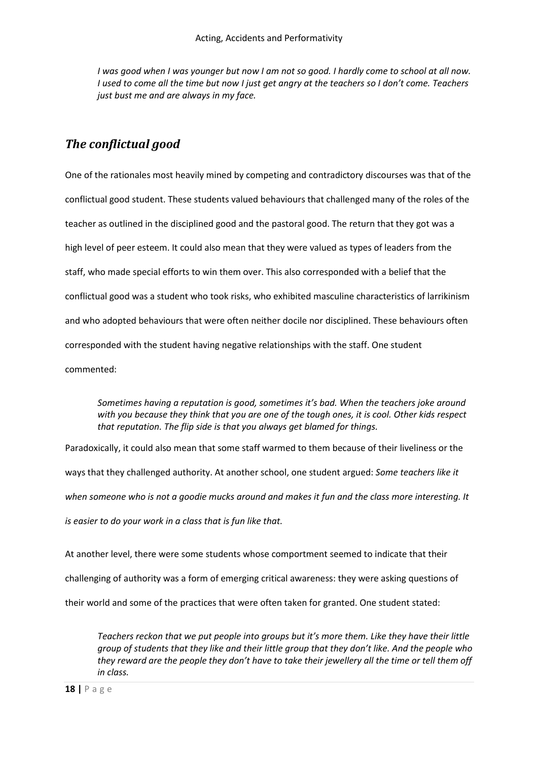*I was good when I was younger but now I am not so good. I hardly come to school at all now. I used to come all the time but now I just get angry at the teachers so I don't come. Teachers just bust me and are always in my face.*

# *The conflictual good*

One of the rationales most heavily mined by competing and contradictory discourses was that of the conflictual good student. These students valued behaviours that challenged many of the roles of the teacher as outlined in the disciplined good and the pastoral good. The return that they got was a high level of peer esteem. It could also mean that they were valued as types of leaders from the staff, who made special efforts to win them over. This also corresponded with a belief that the conflictual good was a student who took risks, who exhibited masculine characteristics of larrikinism and who adopted behaviours that were often neither docile nor disciplined. These behaviours often corresponded with the student having negative relationships with the staff. One student commented:

*Sometimes having a reputation is good, sometimes it's bad. When the teachers joke around with you because they think that you are one of the tough ones, it is cool. Other kids respect that reputation. The flip side is that you always get blamed for things.*

Paradoxically, it could also mean that some staff warmed to them because of their liveliness or the ways that they challenged authority. At another school, one student argued: *Some teachers like it when someone who is not a goodie mucks around and makes it fun and the class more interesting. It is easier to do your work in a class that is fun like that.* 

At another level, there were some students whose comportment seemed to indicate that their challenging of authority was a form of emerging critical awareness: they were asking questions of their world and some of the practices that were often taken for granted. One student stated:

*Teachers reckon that we put people into groups but it's more them. Like they have their little group of students that they like and their little group that they don't like. And the people who they reward are the people they don't have to take their jewellery all the time or tell them off in class.*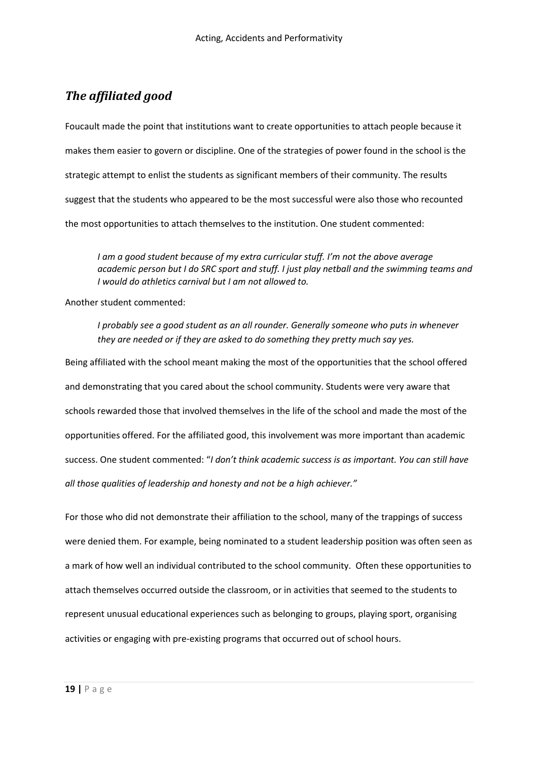# *The affiliated good*

Foucault made the point that institutions want to create opportunities to attach people because it makes them easier to govern or discipline. One of the strategies of power found in the school is the strategic attempt to enlist the students as significant members of their community. The results suggest that the students who appeared to be the most successful were also those who recounted the most opportunities to attach themselves to the institution. One student commented:

*I am a good student because of my extra curricular stuff. I'm not the above average academic person but I do SRC sport and stuff. I just play netball and the swimming teams and I would do athletics carnival but I am not allowed to.*

Another student commented:

*I probably see a good student as an all rounder. Generally someone who puts in whenever they are needed or if they are asked to do something they pretty much say yes.*

Being affiliated with the school meant making the most of the opportunities that the school offered and demonstrating that you cared about the school community. Students were very aware that schools rewarded those that involved themselves in the life of the school and made the most of the opportunities offered. For the affiliated good, this involvement was more important than academic success. One student commented: "*I don't think academic success is as important. You can still have all those qualities of leadership and honesty and not be a high achiever."*

For those who did not demonstrate their affiliation to the school, many of the trappings of success were denied them. For example, being nominated to a student leadership position was often seen as a mark of how well an individual contributed to the school community. Often these opportunities to attach themselves occurred outside the classroom, or in activities that seemed to the students to represent unusual educational experiences such as belonging to groups, playing sport, organising activities or engaging with pre-existing programs that occurred out of school hours.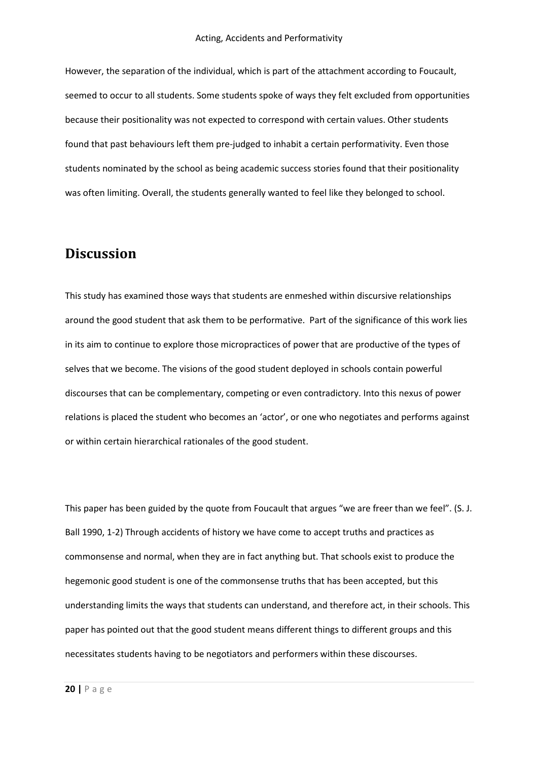However, the separation of the individual, which is part of the attachment according to Foucault, seemed to occur to all students. Some students spoke of ways they felt excluded from opportunities because their positionality was not expected to correspond with certain values. Other students found that past behaviours left them pre-judged to inhabit a certain performativity. Even those students nominated by the school as being academic success stories found that their positionality was often limiting. Overall, the students generally wanted to feel like they belonged to school.

# **Discussion**

This study has examined those ways that students are enmeshed within discursive relationships around the good student that ask them to be performative. Part of the significance of this work lies in its aim to continue to explore those micropractices of power that are productive of the types of selves that we become. The visions of the good student deployed in schools contain powerful discourses that can be complementary, competing or even contradictory. Into this nexus of power relations is placed the student who becomes an 'actor', or one who negotiates and performs against or within certain hierarchical rationales of the good student.

This paper has been guided by the quote from Foucault that argues "we are freer than we feel". (S. J. Ball 1990, 1-2) Through accidents of history we have come to accept truths and practices as commonsense and normal, when they are in fact anything but. That schools exist to produce the hegemonic good student is one of the commonsense truths that has been accepted, but this understanding limits the ways that students can understand, and therefore act, in their schools. This paper has pointed out that the good student means different things to different groups and this necessitates students having to be negotiators and performers within these discourses.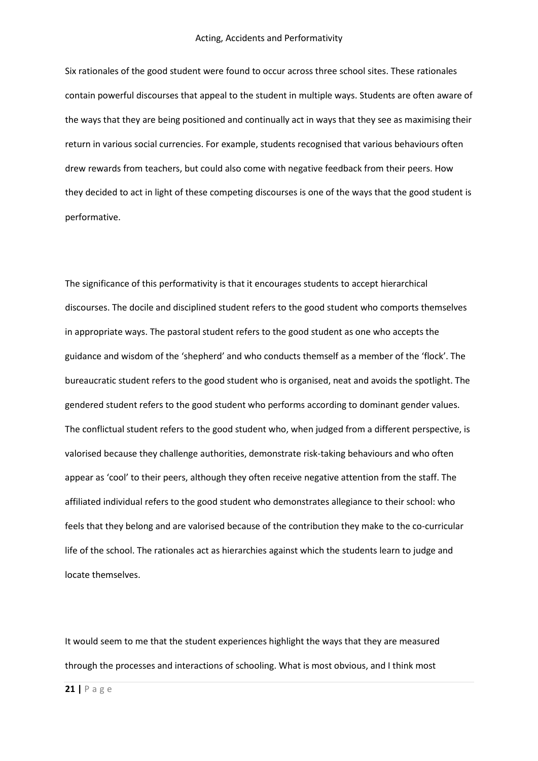Six rationales of the good student were found to occur across three school sites. These rationales contain powerful discourses that appeal to the student in multiple ways. Students are often aware of the ways that they are being positioned and continually act in ways that they see as maximising their return in various social currencies. For example, students recognised that various behaviours often drew rewards from teachers, but could also come with negative feedback from their peers. How they decided to act in light of these competing discourses is one of the ways that the good student is performative.

The significance of this performativity is that it encourages students to accept hierarchical discourses. The docile and disciplined student refers to the good student who comports themselves in appropriate ways. The pastoral student refers to the good student as one who accepts the guidance and wisdom of the 'shepherd' and who conducts themself as a member of the 'flock'. The bureaucratic student refers to the good student who is organised, neat and avoids the spotlight. The gendered student refers to the good student who performs according to dominant gender values. The conflictual student refers to the good student who, when judged from a different perspective, is valorised because they challenge authorities, demonstrate risk-taking behaviours and who often appear as 'cool' to their peers, although they often receive negative attention from the staff. The affiliated individual refers to the good student who demonstrates allegiance to their school: who feels that they belong and are valorised because of the contribution they make to the co-curricular life of the school. The rationales act as hierarchies against which the students learn to judge and locate themselves.

It would seem to me that the student experiences highlight the ways that they are measured through the processes and interactions of schooling. What is most obvious, and I think most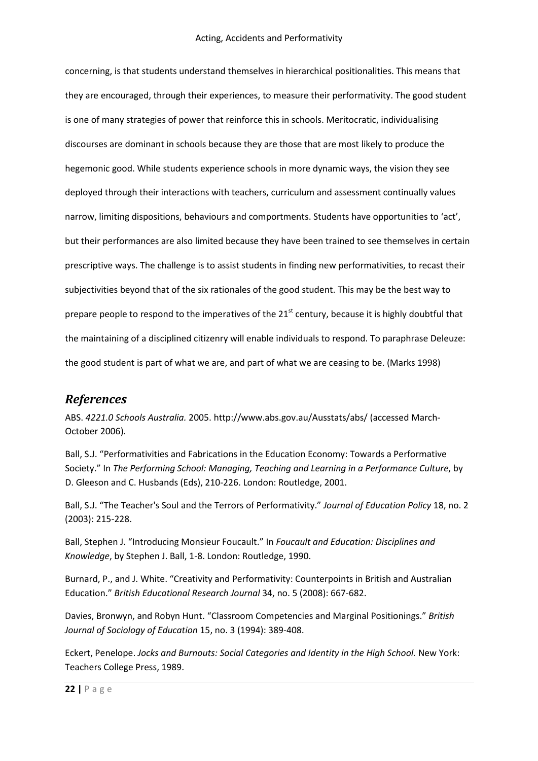concerning, is that students understand themselves in hierarchical positionalities. This means that they are encouraged, through their experiences, to measure their performativity. The good student is one of many strategies of power that reinforce this in schools. Meritocratic, individualising discourses are dominant in schools because they are those that are most likely to produce the hegemonic good. While students experience schools in more dynamic ways, the vision they see deployed through their interactions with teachers, curriculum and assessment continually values narrow, limiting dispositions, behaviours and comportments. Students have opportunities to 'act', but their performances are also limited because they have been trained to see themselves in certain prescriptive ways. The challenge is to assist students in finding new performativities, to recast their subjectivities beyond that of the six rationales of the good student. This may be the best way to prepare people to respond to the imperatives of the 21<sup>st</sup> century, because it is highly doubtful that the maintaining of a disciplined citizenry will enable individuals to respond. To paraphrase Deleuze: the good student is part of what we are, and part of what we are ceasing to be. (Marks 1998)

## *References*

ABS. *4221.0 Schools Australia.* 2005. http://www.abs.gov.au/Ausstats/abs/ (accessed March-October 2006).

Ball, S.J. "Performativities and Fabrications in the Education Economy: Towards a Performative Society." In *The Performing School: Managing, Teaching and Learning in a Performance Culture*, by D. Gleeson and C. Husbands (Eds), 210-226. London: Routledge, 2001.

Ball, S.J. "The Teacher's Soul and the Terrors of Performativity." *Journal of Education Policy* 18, no. 2 (2003): 215-228.

Ball, Stephen J. "Introducing Monsieur Foucault." In *Foucault and Education: Disciplines and Knowledge*, by Stephen J. Ball, 1-8. London: Routledge, 1990.

Burnard, P., and J. White. "Creativity and Performativity: Counterpoints in British and Australian Education." *British Educational Research Journal* 34, no. 5 (2008): 667-682.

Davies, Bronwyn, and Robyn Hunt. "Classroom Competencies and Marginal Positionings." *British Journal of Sociology of Education* 15, no. 3 (1994): 389-408.

Eckert, Penelope. *Jocks and Burnouts: Social Categories and Identity in the High School.* New York: Teachers College Press, 1989.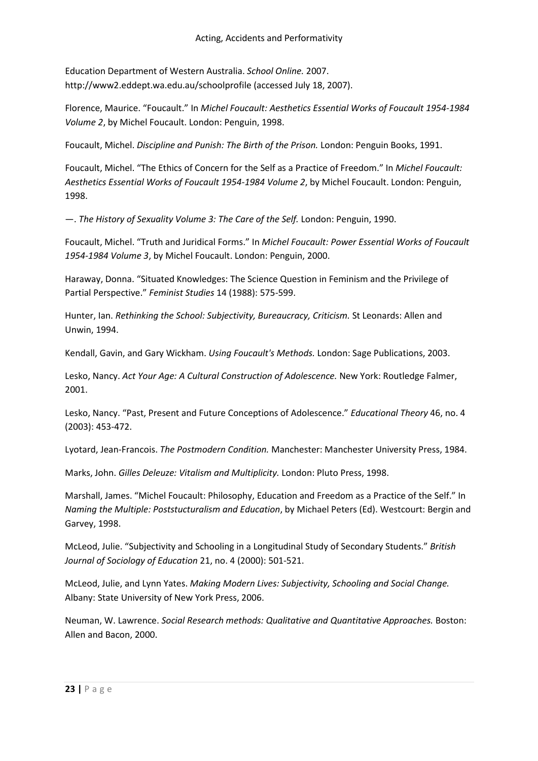Education Department of Western Australia. *School Online.* 2007. http://www2.eddept.wa.edu.au/schoolprofile (accessed July 18, 2007).

Florence, Maurice. "Foucault." In *Michel Foucault: Aesthetics Essential Works of Foucault 1954-1984 Volume 2*, by Michel Foucault. London: Penguin, 1998.

Foucault, Michel. *Discipline and Punish: The Birth of the Prison.* London: Penguin Books, 1991.

Foucault, Michel. "The Ethics of Concern for the Self as a Practice of Freedom." In *Michel Foucault: Aesthetics Essential Works of Foucault 1954-1984 Volume 2*, by Michel Foucault. London: Penguin, 1998.

—. *The History of Sexuality Volume 3: The Care of the Self.* London: Penguin, 1990.

Foucault, Michel. "Truth and Juridical Forms." In *Michel Foucault: Power Essential Works of Foucault 1954-1984 Volume 3*, by Michel Foucault. London: Penguin, 2000.

Haraway, Donna. "Situated Knowledges: The Science Question in Feminism and the Privilege of Partial Perspective." *Feminist Studies* 14 (1988): 575-599.

Hunter, Ian. *Rethinking the School: Subjectivity, Bureaucracy, Criticism.* St Leonards: Allen and Unwin, 1994.

Kendall, Gavin, and Gary Wickham. *Using Foucault's Methods.* London: Sage Publications, 2003.

Lesko, Nancy. *Act Your Age: A Cultural Construction of Adolescence.* New York: Routledge Falmer, 2001.

Lesko, Nancy. "Past, Present and Future Conceptions of Adolescence." *Educational Theory* 46, no. 4 (2003): 453-472.

Lyotard, Jean-Francois. *The Postmodern Condition.* Manchester: Manchester University Press, 1984.

Marks, John. *Gilles Deleuze: Vitalism and Multiplicity.* London: Pluto Press, 1998.

Marshall, James. "Michel Foucault: Philosophy, Education and Freedom as a Practice of the Self." In *Naming the Multiple: Poststucturalism and Education*, by Michael Peters (Ed). Westcourt: Bergin and Garvey, 1998.

McLeod, Julie. "Subjectivity and Schooling in a Longitudinal Study of Secondary Students." *British Journal of Sociology of Education* 21, no. 4 (2000): 501-521.

McLeod, Julie, and Lynn Yates. *Making Modern Lives: Subjectivity, Schooling and Social Change.* Albany: State University of New York Press, 2006.

Neuman, W. Lawrence. *Social Research methods: Qualitative and Quantitative Approaches.* Boston: Allen and Bacon, 2000.